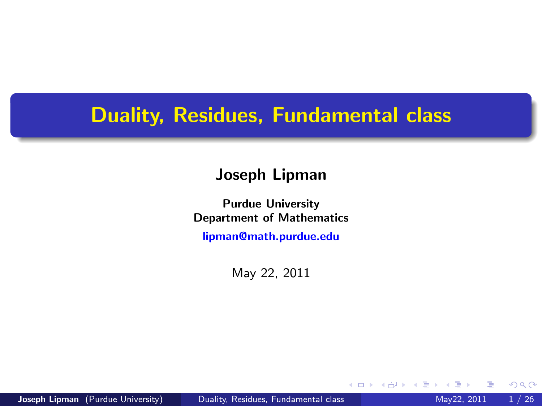## <span id="page-0-0"></span>Duality, Residues, Fundamental class

#### Joseph Lipman

Purdue University Department of Mathematics

[lipman@math.purdue.edu](mailto:lipman@math.purdue.edu)

May 22, 2011

<span id="page-0-1"></span>4 0 8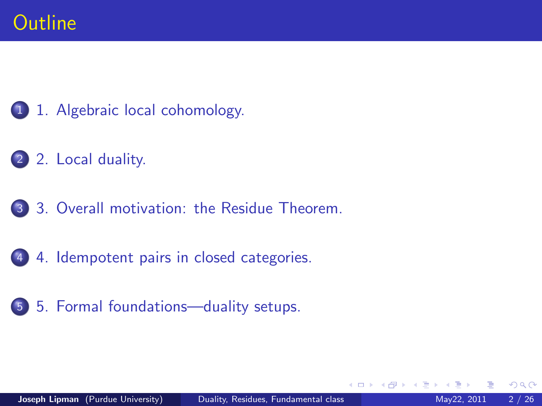- [1. Algebraic local cohomology.](#page-2-0)
- [2. Local duality.](#page-12-0)
- [3. Overall motivation: the Residue Theorem.](#page-0-0)
- [4. Idempotent pairs in closed categories.](#page-0-0)
- [5. Formal foundations—duality setups.](#page-0-0)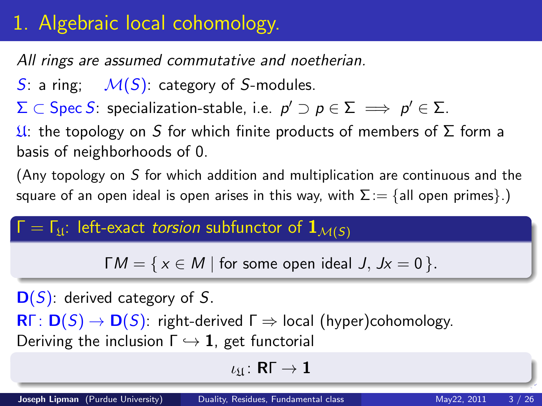# 1. Algebraic local cohomology.

All rings are assumed commutative and noetherian.

S: a ring;  $M(S)$ : category of S-modules.

 $\Sigma\subset \operatorname{\mathsf{Spec}} S$ : specialization-stable, i.e.  $\rho'\supset \rho\in \Sigma\implies \rho'\in \Sigma.$ 

 $\mathfrak{U}$ : the topology on S for which finite products of members of  $\Sigma$  form a basis of neighborhoods of 0.

(Any topology on S for which addition and multiplication are continuous and the square of an open ideal is open arises in this way, with  $\Sigma := \{$ all open primes}.

## $Γ = Γ<sub>11</sub>:$  left-exact torsion subfunctor of  $1<sub>M(S)</sub>$

 $\Gamma M = \{ x \in M \mid \text{for some open ideal } J, Jx = 0 \}.$ 

### $D(S)$ : derived category of S.

 $\mathsf{R}\Gamma\colon\mathsf{D}(S)\to\mathsf{D}(S)$ : right-derived  $\Gamma\Rightarrow$  local (hyper)cohomology. Deriving the inclusion  $\Gamma \hookrightarrow \mathbf{1}$ , get functorial

<span id="page-2-0"></span>
$$
\iota_{\mathfrak{U}}\colon\mathsf{R}\Gamma\to\mathbf{1}
$$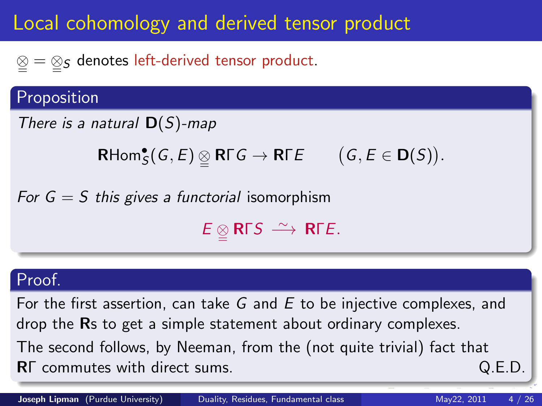# Local cohomology and derived tensor product

 $\mathcal{Q} = \mathcal{Q}_{\mathcal{S}}$  denotes left-derived tensor product.

## Proposition

```
There is a natural \mathsf{D}(S)-map
```

```
\mathsf{RHom}^\bullet_S(G,E)\, \underline{\otimes}\, \mathsf{R}\Gamma G \to \mathsf{R}\Gamma E(G, E \in D(S)).
```
For  $G = S$  this gives a functorial isomorphism

 $E \underset{\simeq}{\otimes} \mathsf{R} \Gamma S \xrightarrow{\sim} \mathsf{R} \Gamma E.$ 

### Proof.

For the first assertion, can take G and E to be injective complexes, and drop the Rs to get a simple statement about ordinary complexes. The second follows, by Neeman, from the (not quite trivial) fact that RΓ commutes with direct sums. Q.E.D.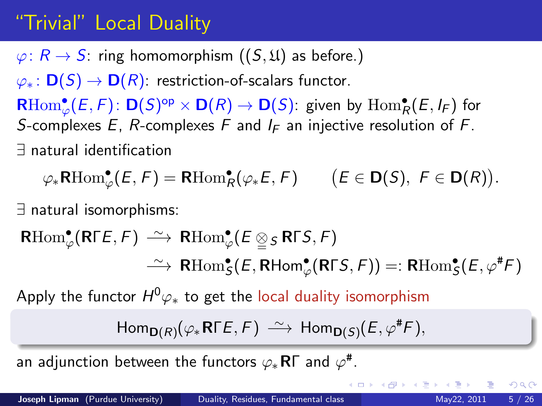# "Trivial" Local Duality

 $\varphi: R \to S$ : ring homomorphism  $((S, \mathfrak{U})$  as before.)  $\varphi_*\colon \mathbf{D}(S) \to \mathbf{D}(R)$ : restriction-of-scalars functor.  $\mathsf{RHom}^\bullet_\varphi(E,F)\colon\mathsf{D}(S)^\mathrm{op}\times\mathsf{D}(R)\to\mathsf{D}(S)\colon$  given by  $\mathrm{Hom}^\bullet_R(E,I_F)$  for S-complexes E, R-complexes F and  $I_F$  an injective resolution of F. ∃ natural identification

 $\varphi_*\mathsf{RHom}^\bullet_\varphi(E,F)=\mathsf{RHom}^\bullet_R(\varphi_*E,F) \qquad \big(E\in\mathsf{D}(S),\; F\in\mathsf{D}(R)\big).$ 

∃ natural isomorphisms:

 $\mathsf{RHom}^\bullet_\varphi(\mathsf{R}\mathsf{\Gamma} E,{\mathsf{F}})\ \stackrel{\sim}{\longrightarrow}\ \mathsf{R}\mathrm{Hom}^\bullet_\varphi(E\underset{\cong}{\otimes} {}_{\mathsf{S}}\mathsf{R}\mathsf{\Gamma} {\mathsf{S}}, {\mathsf{F}})$  $\;\;\stackrel{\sim}{\longrightarrow}\;\mathsf{R}\mathrm{Hom}^\bullet_{\mathsf{S}}(E,\mathsf{R}\mathsf{Hom}^\bullet_{\varphi}(\mathsf{R}\mathsf{\Gamma} S,F))=:\mathsf{R}\mathrm{Hom}^\bullet_{\mathsf{S}}(E,\varphi^\#\digamma)$ 

Apply the functor  $H^0\varphi_*$  to get the local duality isomorphism

$$
\mathsf{Hom}_{\mathsf{D}(R)}(\varphi_*\mathsf{R\Gamma} E,F)\ \tilde{\longrightarrow}\ \mathsf{Hom}_{\mathsf{D}(S)}(E,\varphi^{\#} F),
$$

an adjunction between the functors  $\varphi_*\mathsf{R}\mathsf{\Gamma}$  and  $\varphi^\#$ .

 $QQ$ 

イロト イ押ト イヨト イヨト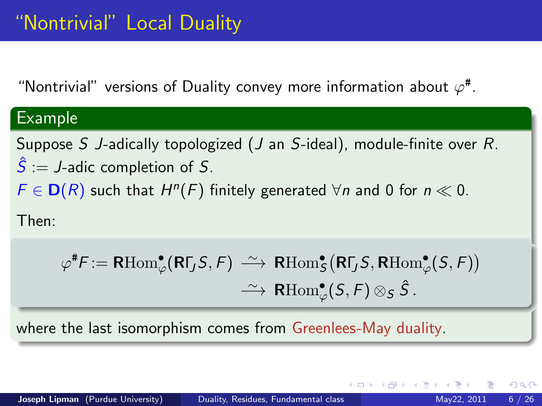"Nontrivial" versions of Duality convey more information about  $\varphi^{\#}$ .

## Example

Suppose S J-adically topologized (J an S-ideal), module-finite over R.  $\hat{S}$  := J-adic completion of S.

 $F \in D(R)$  such that  $H^n(F)$  finitely generated  $\forall n$  and 0 for  $n \ll 0$ .

Then:

$$
\varphi^{\#}F := \text{RHom}_{\varphi}^{\bullet}(\text{R}\Gamma_{J}S, F) \xrightarrow{\sim} \text{R}\text{Hom}_{S}^{\bullet}(\text{R}\Gamma_{J}S, \text{R}\text{Hom}_{\varphi}^{\bullet}(S, F))
$$

$$
\xrightarrow{\sim} \text{R}\text{Hom}_{\varphi}^{\bullet}(S, F) \otimes_{S} \hat{S}.
$$

where the last isomorphism comes from Greenlees-May duality.

 $200$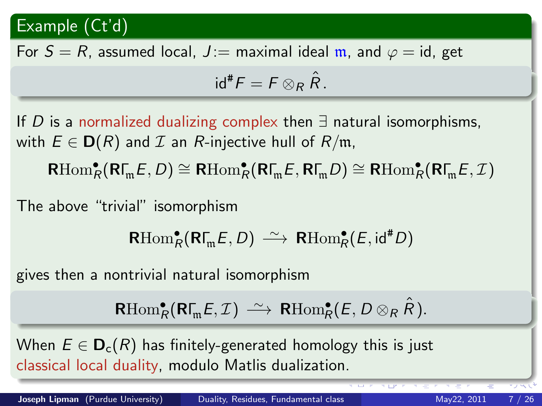## Example (Ct'd)

For  $S = R$ , assumed local,  $J :=$  maximal ideal m, and  $\varphi = id$ , get

$$
\mathrm{id}^*F=F\otimes_R\hat{R}.
$$

If D is a normalized dualizing complex then  $\exists$  natural isomorphisms, with  $E \in D(R)$  and  $\mathcal I$  an R-injective hull of  $R/\mathfrak{m}$ ,  $\mathsf{R}\mathrm{Hom}^\bullet_\mathcal{R}(\mathsf{R}\Gamma_\mathfrak{m} E,D)\cong \mathsf{R}\mathrm{Hom}^\bullet_\mathcal{R}(\mathsf{R}\Gamma_\mathfrak{m} E,\mathsf{R}\Gamma_\mathfrak{m} D)\cong \mathsf{R}\mathrm{Hom}^\bullet_\mathcal{R}(\mathsf{R}\Gamma_\mathfrak{m} E,\mathcal{I})$ 

The above "trivial" isomorphism

 $\mathsf{R}\mathrm{Hom}^\bullet_\mathcal{R}(\mathsf{R}\Gamma_\mathfrak{m} E,D) \, \xrightarrow{\sim} \, \mathsf{R}\mathrm{Hom}^\bullet_\mathcal{R}(E,\mathsf{id}^* D)$ 

gives then a nontrivial natural isomorphism

 $\mathsf{RHom}_R^{\bullet}(\mathsf{R}\Gamma_{\!\mathfrak{m}} E,\mathcal{I}) \, \stackrel{\sim}{\longrightarrow} \, \mathsf{R}\mathrm{Hom}_R^{\bullet}(E,\,D \otimes_R \hat{R}).$ 

When  $E \in \mathbf{D}_{c}(R)$  has finitely-generated homology this is just classical local duality, modulo Matlis dualization.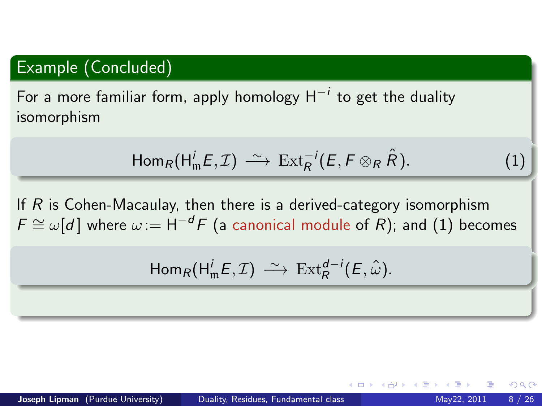### Example (Concluded)

For a more familiar form, apply homology  $\mathsf{H}^{-i}$  to get the duality isomorphism

<span id="page-7-0"></span>
$$
\mathsf{Hom}_R(\mathsf{H}^i_\mathfrak{m} E,\mathcal{I})\stackrel{\sim}{\longrightarrow} \operatorname{Ext}^{-i}_R(E,F\otimes_R \hat{R}).
$$

If  $R$  is Cohen-Macaulay, then there is a derived-category isomorphism  $F \cong \omega[d]$  where  $\omega := H^{-d}F$  (a canonical module of R); and [\(1\)](#page-7-0) becomes

$$
\text{Hom}_R(\text{H}^i_\mathfrak{m} E,\mathcal{I})\ \xrightarrow{\sim}\ \text{Ext}^{d-i}_R(E,\hat{\omega}).
$$

 $200$ 

 $(1)$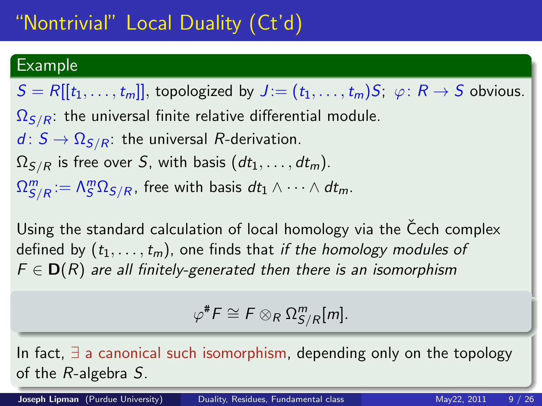### Example

 $S = R[[t_1, \ldots, t_m]]$ , topologized by  $J = (t_1, \ldots, t_m)S; \varphi: R \to S$  obvious.  $\Omega_{S/R}$ : the universal finite relative differential module.  $d: S \rightarrow \Omega_{S/R}$ : the universal R-derivation.  $\Omega_{S/R}$  is free over S, with basis  $(dt_1, \ldots, dt_m)$ .  $\Omega^m_{S/R}:=\mathsf{\Lambda}^m_S\Omega_{S/R}$ , free with basis  $dt_1\wedge\cdots\wedge dt_m.$ 

Using the standard calculation of local homology via the Čech complex defined by  $(t_1, \ldots, t_m)$ , one finds that if the homology modules of  $F \in D(R)$  are all finitely-generated then there is an isomorphism

 $\varphi^{\#}F \cong F \otimes_R \Omega^m_{S/R}[m].$ 

In fact, ∃ a canonical such isomorphism, depending only on the topology of the R-algebra S.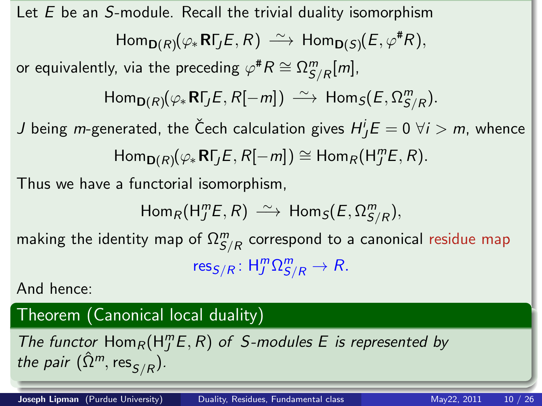Let  $E$  be an S-module. Recall the trivial duality isomorphism  $\mathsf{Hom}_{\mathsf{D}(R)}(\varphi_*\mathsf{R}\mathsf{\Gamma}_J\mathsf{E},R) \stackrel{\sim}{\longrightarrow} \mathsf{Hom}_{\mathsf{D}(S)}(\mathsf{E},\varphi^{\#} R),$ or equivalently, via the preceding  $\varphi^\# R \cong \Omega^\bm{m}_{S/R}[m],$  $\mathsf{Hom}_{\mathsf{D}(R)}(\varphi_*\mathsf{R}\mathsf{\Gamma}_J\mathsf{E},R[-m]) \ \tilde{\longrightarrow} \ \mathsf{Hom}_S(E,\Omega^m_{S/R}).$  $J$  being  $m$ -generated, the Čech calculation gives  $H^{i}_{J}E=0$   $\forall i>m$ , whence  $\mathsf{Hom}_{\mathsf{D}(R)}(\varphi_*\mathsf{R}\mathsf{\Gamma}_J E,R[-m])\cong \mathsf{Hom}_R(\mathsf{H}_J^m E,R).$ Thus we have a functorial isomorphism,  $\mathsf{Hom}_R(\mathsf{H}^m_J\hspace{-0.1cm}E,R) \,\stackrel{\sim}{\longrightarrow}\, \mathsf{Hom}_S(E,\Omega^m_{S/R}),$ making the identity map of  $\Omega^m_{S/R}$  correspond to a canonical residue map  $\text{res}_{S/R} : \mathsf{H}_{J}^{m} \Omega_{S/R}^{m} \to R.$ And hence: Theorem (Canonical local duality) The functor  $\text{Hom}_R(H_j^mE, R)$  of S-modules E is represented by the pair  $(\hat{\Omega}^m, \text{res}_{S/R})$ .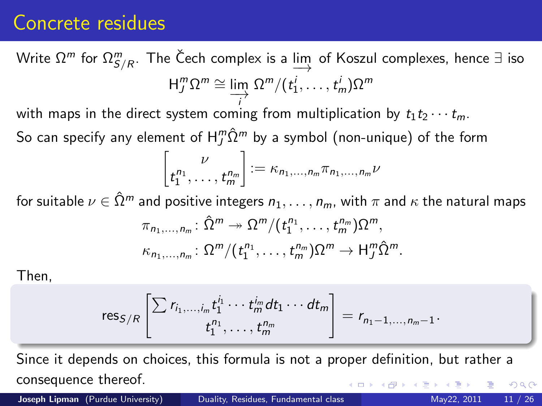## Concrete residues

Write  $\Omega^m$  for  $\Omega^m_{S/R}$ . The Čech complex is a  $\varinjlim$  of Koszul complexes, hence  $\exists$  iso  $H_j^m \Omega^m \cong \lim_{\longrightarrow} \Omega^m/(t_1^j, \dots, t_m^j) \Omega^m$ 

with maps in the direct system coming from multiplication by  $t_1 t_2 \cdots t_m$ .

So can specify any element of  $\mathsf{H}_{J}^{m}\hat{\Omega}^{m}$  by a symbol (non-unique) of the form

$$
\begin{bmatrix} \nu \\ t_1^{n_1}, \dots, t_m^{n_m} \end{bmatrix} := \kappa_{n_1, \dots, n_m} \pi_{n_1, \dots, n_m} \nu
$$

for suitable  $\nu \in \hat{\Omega}^m$  and positive integers  $n_1, \ldots, n_m$ , with  $\pi$  and  $\kappa$  the natural maps  $\pi_{n_1,\ldots,n_m}$ :  $\hat{\Omega}^m \rightarrow \Omega^m/(t_1^{n_1},\ldots,t_m^{n_m})\Omega^m$ ,  $\kappa_{n_1,\ldots,n_m} \colon \Omega^m/(t_1^{n_1},\ldots,t_m^{n_m})\Omega^m \to \mathsf{H}_{J}^m\hat{\Omega}^m.$ 

Then,

$$
\text{res}_{S/R}\left[\sum_{t_1,\ldots,t_m} r_{i_1}^{i_1}\cdots r_{m}^{i_m} dt_1\cdots dt_m\right] = r_{n_1-1,\ldots,n_m-1}.
$$

Since it depends on choices, this formula is not a proper definition, but rather a consequence thereof.  $\Omega$ 

Joseph Lipman (Purdue University) [Duality, Residues, Fundamental class](#page-0-1) May22, 2011 11 / 26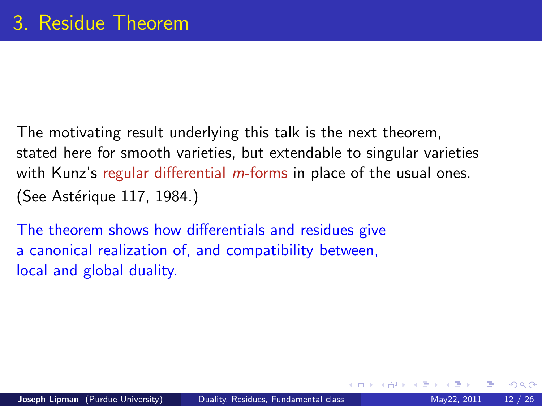The motivating result underlying this talk is the next theorem, stated here for smooth varieties, but extendable to singular varieties with Kunz's regular differential *m*-forms in place of the usual ones. (See Astérique 117, 1984.)

<span id="page-11-0"></span>The theorem shows how differentials and residues give a canonical realization of, and compatibility between, local and global duality.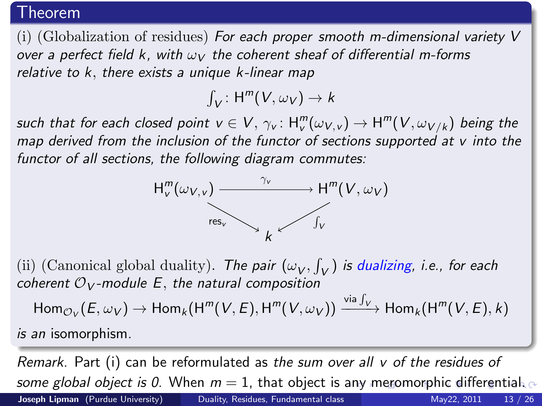#### Theorem

(i) (Globalization of residues) For each proper smooth m-dimensional variety  $V$ over a perfect field k, with  $\omega_V$  the coherent sheaf of differential m-forms relative to k, there exists a unique k-linear map

 $\int_V$ : H<sup>m</sup>(V,  $\omega_V$ )  $\rightarrow k$ 

such that for each closed point  $v\in V,$   $\gamma_{v}\colon H^{m}_{v}(\omega_{V,v})\to \textsf{H}^{m}(V,\omega_{V/k})$  being the map derived from the inclusion of the functor of sections supported at  $v$  into the functor of all sections, the following diagram commutes:

<span id="page-12-0"></span>

(ii) (Canonical global duality). The pair  $(\omega_V, \int_V)$  is dualizing, i.e., for each coherent  $O_V$ -module E, the natural composition

$$
\mathsf{Hom}_{\mathcal{O}_V}(E,\omega_V)\to \mathsf{Hom}_k(\mathsf{H}^m(V,E),\mathsf{H}^m(V,\omega_V))\xrightarrow{\mathsf{via}\,\int_V}\mathsf{Hom}_k(\mathsf{H}^m(V,E),k)
$$

is an isomorphism.

Remark. Part (i) can be reformulated as the sum over all v of the residues of s[o](#page-11-0)[m](#page-17-0)e global object is 0. When  $m = 1$ , that object is [an](#page-11-0)[y m](#page-13-0)[er](#page-0-1)omo[r](#page-12-0)[ph](#page-0-0)[ic](#page-11-0) [diff](#page-0-0)er[ent](#page-0-0)ial. Joseph Lipman (Purdue University) [Duality, Residues, Fundamental class](#page-0-1) May22, 2011 13 / 26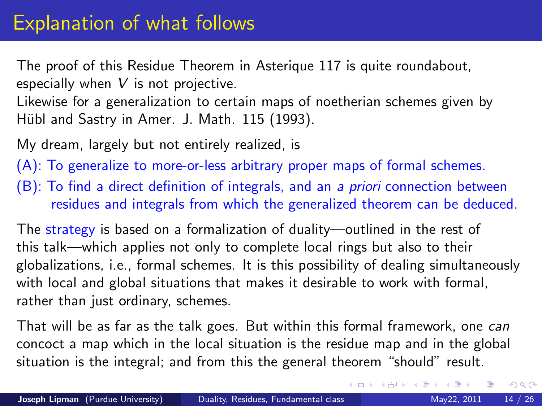The proof of this Residue Theorem in Asterique 117 is quite roundabout, especially when  $V$  is not projective.

Likewise for a generalization to certain maps of noetherian schemes given by Hübl and Sastry in Amer. J. Math. 115 (1993).

My dream, largely but not entirely realized, is

(A): To generalize to more-or-less arbitrary proper maps of formal schemes.

(B): To find a direct definition of integrals, and an a priori connection between residues and integrals from which the generalized theorem can be deduced.

The strategy is based on a formalization of duality—outlined in the rest of this talk—which applies not only to complete local rings but also to their globalizations, i.e., formal schemes. It is this possibility of dealing simultaneously with local and global situations that makes it desirable to work with formal, rather than just ordinary, schemes.

<span id="page-13-0"></span>That will be as far as the talk goes. But within this formal framework, one can concoct a map which in the local situation is the residue map and in the global situation is the integral; and from this the general theorem "should" result.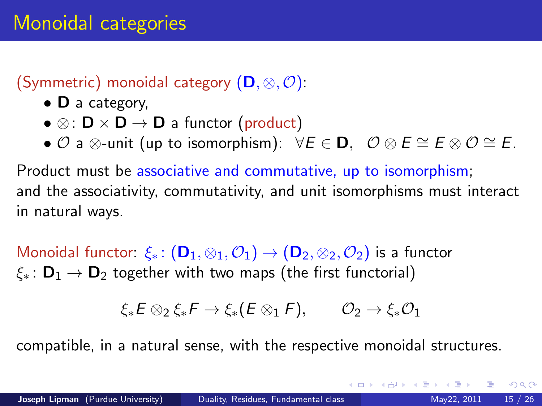## (Symmetric) monoidal category  $(D, \otimes, \mathcal{O})$ :

- D a category,
- $\otimes$ :  $\mathsf{D} \times \mathsf{D} \rightarrow \mathsf{D}$  a functor (product)
- $\mathcal O$  a ⊗-unit (up to isomorphism):  $\forall E \in \mathbf{D}, \ \mathcal O \otimes E \cong E \otimes \mathcal O \cong E$ .

Product must be associative and commutative, up to isomorphism; and the associativity, commutativity, and unit isomorphisms must interact in natural ways.

Monoidal functor:  $\xi_* : (\mathbf{D}_1, \otimes_1, \mathcal{O}_1) \to (\mathbf{D}_2, \otimes_2, \mathcal{O}_2)$  is a functor  $\xi_* : \mathbf{D}_1 \to \mathbf{D}_2$  together with two maps (the first functorial)

$$
\xi_*E\otimes_2\xi_*F\to\xi_*(E\otimes_1 F),\qquad {\mathcal O}_2\to\xi_*{\mathcal O}_1
$$

compatible, in a natural sense, with the respective monoidal structures.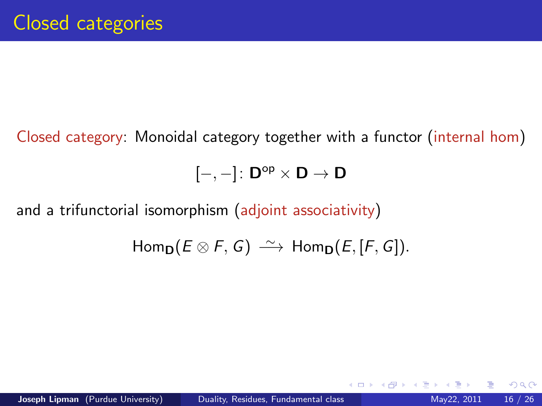Closed category: Monoidal category together with a functor (internal hom)

 $[-,-]:\mathsf{D}^{\mathsf{op}}\times\mathsf{D}\to\mathsf{D}$ 

and a trifunctorial isomorphism (adjoint associativity)

 $Hom_{\mathbf{D}}(E \otimes F, G) \longrightarrow Hom_{\mathbf{D}}(E, [F, G]).$ 

4 D F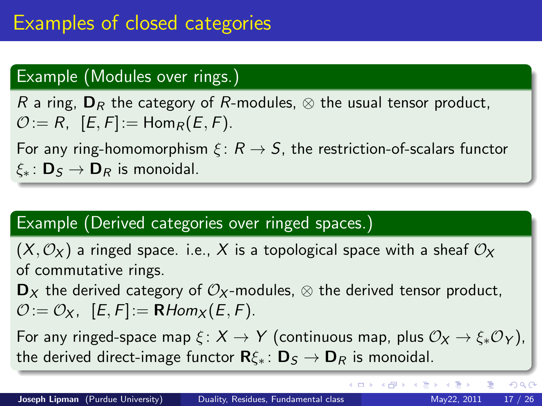## Example (Modules over rings.)

R a ring,  $D_R$  the category of R-modules,  $\otimes$  the usual tensor product,  $\mathcal{O}:= R$ ,  $[E, F] := \text{Hom}_{R}(E, F)$ .

For any ring-homomorphism  $\xi: R \to S$ , the restriction-of-scalars functor  $\xi_* : \mathbf{D}_S \to \mathbf{D}_R$  is monoidal.

## Example (Derived categories over ringed spaces.)

 $(X, \mathcal{O}_X)$  a ringed space. i.e., X is a topological space with a sheaf  $\mathcal{O}_X$ of commutative rings.

 $\mathbf{D}_X$  the derived category of  $\mathcal{O}_X$ -modules,  $\otimes$  the derived tensor product,  $\mathcal{O}:=\mathcal{O}_X$ ,  $[E, F]:=\mathbf{R}Hom_X(E, F).$ 

For any ringed-space map  $\xi: X \to Y$  (continuous map, plus  $\mathcal{O}_X \to \xi_* \mathcal{O}_Y$ ), the derived direct-image functor  $\mathbf{R}\xi_* : \mathbf{D}_S \to \mathbf{D}_R$  is monoidal.

<span id="page-16-0"></span> $QQ$ 

イロト イ部 トイヨ トイヨト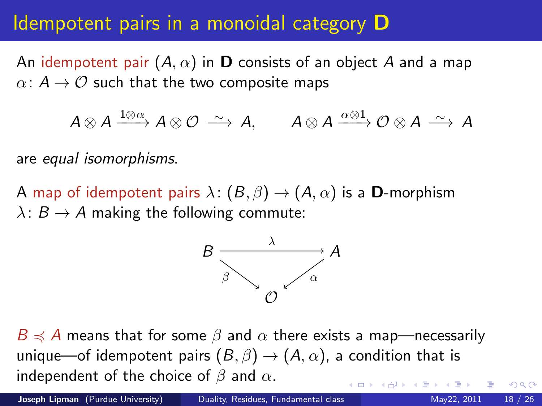## Idempotent pairs in a monoidal category D

An idempotent pair  $(A, \alpha)$  in **D** consists of an object A and a map  $\alpha: A \rightarrow \mathcal{O}$  such that the two composite maps

$$
A\otimes A \xrightarrow{1\otimes\alpha} A\otimes \mathcal{O} \xrightarrow{\sim} A, \qquad A\otimes A \xrightarrow{\alpha\otimes 1} \mathcal{O} \otimes A \xrightarrow{\sim} A
$$

are equal isomorphisms.

A map of idempotent pairs  $\lambda: (B, \beta) \to (A, \alpha)$  is a **D**-morphism  $\lambda: B \to A$  making the following commute:



 $B \preccurlyeq A$  means that for some  $\beta$  and  $\alpha$  there exists a map—necessarily unique—of idempotent pairs  $(B, \beta) \rightarrow (A, \alpha)$ , a condition that is independent of the choice of  $\beta$  and  $\alpha$ .

<span id="page-17-0"></span> $200$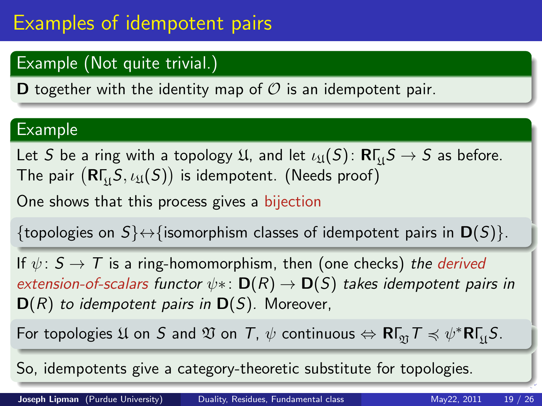# Examples of idempotent pairs

## Example (Not quite trivial.)

**D** together with the identity map of  $\mathcal{O}$  is an idempotent pair.

### Example

Let  $S$  be a ring with a topology  $\mathfrak{U}$ , and let  $\iota_\mathfrak{U}(S) \colon \mathsf{R}\Gamma_{\!\mathfrak{U}} S \to S$  as before. The pair  $(\mathsf{R}\mathsf{\Gamma}_{\mathfrak{U}}\mathsf{S},\iota_{\mathfrak{U}}(\mathsf{S}))$  is idempotent. (Needs proof)

One shows that this process gives a bijection

{topologies on  $S$ } $\leftrightarrow$ {isomorphism classes of idempotent pairs in  $\mathbf{D}(S)$ }.

If  $\psi: S \to T$  is a ring-homomorphism, then (one checks) the derived extension-of-scalars functor  $\psi$ \*:  $D(R) \rightarrow D(S)$  takes idempotent pairs in  $D(R)$  to idempotent pairs in  $D(S)$ . Moreover,

For topologies  $\mathfrak U$  on  $S$  and  $\mathfrak V$  on  $\mathcal T$ ,  $\psi$  continuous  $\Leftrightarrow \mathsf{R}\mathsf{\Gamma}_\mathfrak V\mathcal T\preccurlyeq \psi^*\mathsf{R}\mathsf{\Gamma}_\mathfrak U S.$ 

So, idempotents give a category-theoretic substitute for topologies.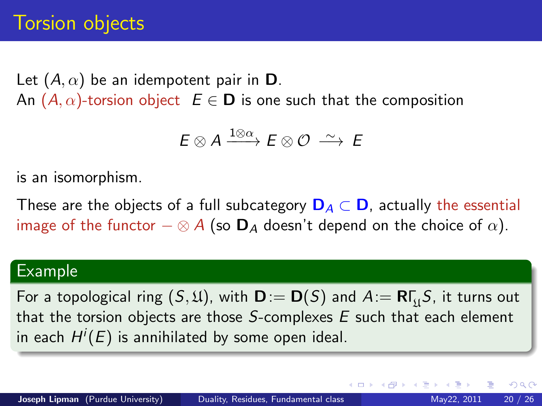Let  $(A, \alpha)$  be an idempotent pair in **D**. An  $(A, \alpha)$ -torsion object  $E \in \mathbf{D}$  is one such that the composition

$$
E\otimes A \xrightarrow{1\otimes\alpha} E\otimes\mathcal{O} \xrightarrow{\sim} E
$$

is an isomorphism.

These are the objects of a full subcategory  $\mathbf{D}_A \subset \mathbf{D}$ , actually the essential image of the functor  $-\otimes A$  (so  $\mathbf{D}_A$  doesn't depend on the choice of  $\alpha$ ).

### Example

For a topological ring  $(\mathcal{S},\mathfrak{U})$ , with  $\mathsf{D}:=\mathsf{D}(\mathcal{S})$  and  $A:=\mathsf{R}\mathsf{\Gamma}_{\mathfrak{U}}\mathcal{S}$ , it turns out that the torsion objects are those  $S$ -complexes  $E$  such that each element in each  $H^i(E)$  is annihilated by some open ideal.

 $200$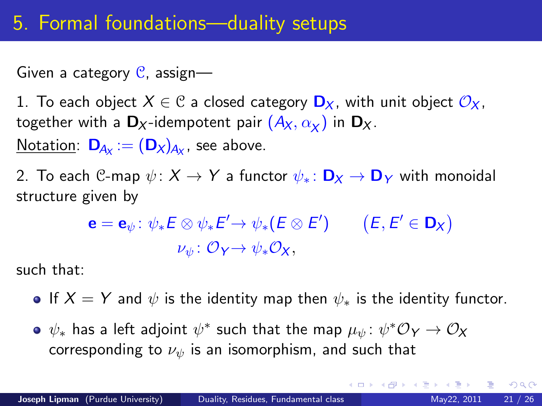## 5. Formal foundations—duality setups

Given a category  $C$ , assign—

1. To each object  $X \in \mathcal{C}$  a closed category  $\mathbf{D}_X$ , with unit object  $\mathcal{O}_X$ , together with a  $\mathbf{D}_X$ -idempotent pair  $(A_X,\alpha_\chi)$  in  $\mathbf{D}_X.$ <u>Notation</u>:  $\mathbf{D}_{\!A\chi}:= (\mathbf{D}_\mathsf{X})_{\!A\chi}$ , see above.

2. To each C-map  $\psi: X \to Y$  a functor  $\psi_*: \mathbf{D}_X \to \mathbf{D}_Y$  with monoidal structure given by

$$
\mathbf{e} = \mathbf{e}_{\psi} \colon \psi_* E \otimes \psi_* E' \to \psi_* (E \otimes E') \qquad (E, E' \in \mathbf{D}_X)
$$
  

$$
\nu_{\psi} \colon \mathcal{O}_Y \to \psi_* \mathcal{O}_X,
$$

such that:

- **•** If  $X = Y$  and  $\psi$  is the identity map then  $\psi_*$  is the identity functor.
- $\psi_*$  has a left adjoint  $\psi^*$  such that the map  $\mu_\psi\colon \psi^*\mathcal{O}_Y\to \mathcal{O}_X$ corresponding to  $\nu_{\psi}$  is an isomorphism, and such that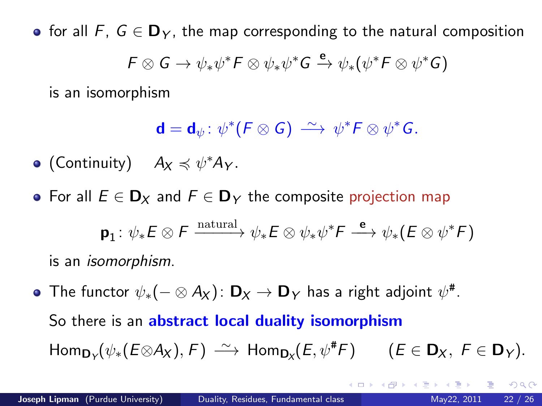• for all F,  $G \in \mathbf{D}_Y$ , the map corresponding to the natural composition  $\mathsf{F} \otimes \mathsf{G} \to \psi_*\psi^*\mathsf{F} \otimes \psi_*\psi^*\mathsf{G} \xrightarrow{\mathsf{e}} \psi_*(\psi^*\mathsf{F} \otimes \psi^*\mathsf{G})$ 

is an isomorphism

$$
\mathbf{d} = \mathbf{d}_{\psi} \colon \psi^*(F \otimes G) \stackrel{\sim}{\longrightarrow} \psi^*F \otimes \psi^*G.
$$

(Continuity)  $A_X \preccurlyeq \psi^* A_Y$ .

• For all  $E \in \mathbf{D}_X$  and  $F \in \mathbf{D}_Y$  the composite projection map

$$
\mathbf{p}_1: \psi_* E \otimes F \xrightarrow{\text{natural}} \psi_* E \otimes \psi_* \psi^* F \xrightarrow{\mathbf{e}} \psi_* (E \otimes \psi^* F)
$$

is an isomorphism.

The functor  $\psi_*(- \otimes A_X) \colon \mathsf{D}_X \to \mathsf{D}_Y$  has a right adjoint  $\psi^\#$ . So there is an abstract local duality isomorphism  $\mathsf{Hom}_{\mathsf{D}_\mathsf{Y}}(\psi_*(E \otimes \mathsf{A}_\mathsf{X}), F) \, \xrightarrow{\sim} \, \mathsf{Hom}_{\mathsf{D}_\mathsf{X}}(E, \psi^\# F) \qquad (E \in \mathsf{D}_\mathsf{X}, \ F \in \mathsf{D}_\mathsf{Y}).$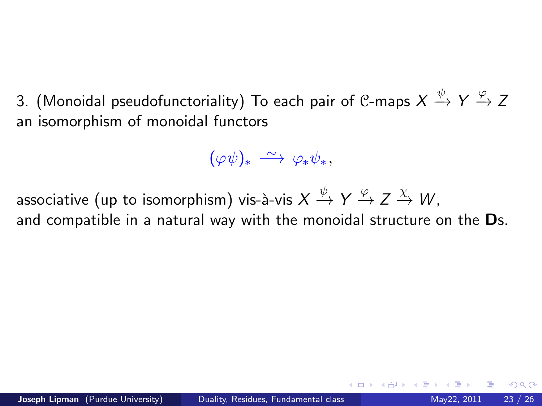3. (Monoidal pseudofunctoriality) To each pair of C-maps  $X\stackrel{\psi}{\to} Y\stackrel{\varphi}{\to} Z$ an isomorphism of monoidal functors

$$
(\varphi\psi)_*\;\overset{\sim}{\longrightarrow}\;\varphi_*\psi_*,
$$

associative (up to isomorphism) vis-à-vis  $X\stackrel{\psi}{\to} Y\stackrel{\varphi}{\to} Z\stackrel{\chi}{\to} W,$ and compatible in a natural way with the monoidal structure on the Ds.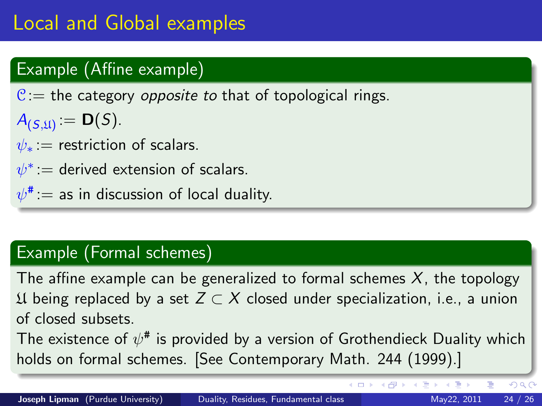## Example (Affine example)

 $C =$  the category *opposite to* that of topological rings.

- $A_{(S,\mathfrak{U})} = \mathbf{D}(S).$
- $\psi_*$  = restriction of scalars.
- $\psi^*$  := derived extension of scalars.
- $\psi^\texttt{\texttt{\#}}:=$  as in discussion of local duality.

## Example (Formal schemes)

The affine example can be generalized to formal schemes  $X$ , the topology  $\mathcal{U}$  being replaced by a set  $Z \subset X$  closed under specialization, i.e., a union of closed subsets.

The existence of  $\psi^\texttt{\#}$  is provided by a version of Grothendieck Duality which holds on formal schemes. [See Contemporary Math. 244 (1999).]

4 D F → 何 ▶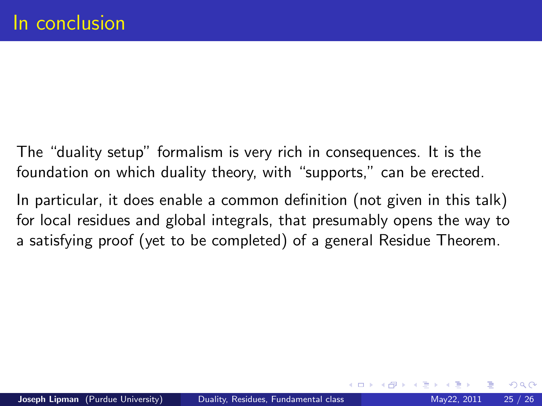The "duality setup" formalism is very rich in consequences. It is the foundation on which duality theory, with "supports," can be erected.

In particular, it does enable a common definition (not given in this talk) for local residues and global integrals, that presumably opens the way to a satisfying proof (yet to be completed) of a general Residue Theorem.